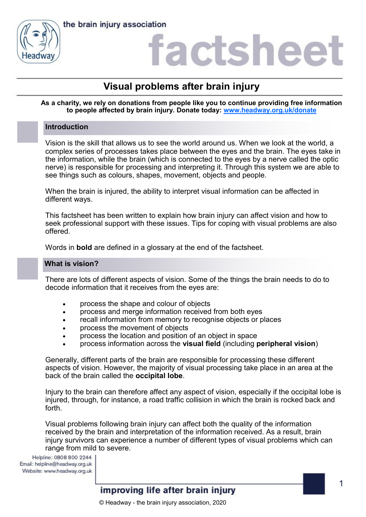



### factshee

### **Visual problems after brain injury**

#### **As a charity, we rely on donations from people like you to continue providing free information to people affected by brain injury. Donate today: [www.headway.org.uk/donate](http://www.headway.org.uk/donate)**

#### **Introduction**

Vision is the skill that allows us to see the world around us. When we look at the world, a complex series of processes takes place between the eyes and the brain. The eyes take in the information, while the brain (which is connected to the eyes by a nerve called the optic nerve) is responsible for processing and interpreting it. Through this system we are able to see things such as colours, shapes, movement, objects and people.

When the brain is injured, the ability to interpret visual information can be affected in different ways.

This factsheet has been written to explain how brain injury can affect vision and how to seek professional support with these issues. Tips for coping with visual problems are also offered.

Words in **bold** are defined in a glossary at the end of the factsheet.

#### **What is vision?**

There are lots of different aspects of vision. Some of the things the brain needs to do to decode information that it receives from the eyes are:

- process the shape and colour of objects
- process and merge information received from both eyes
- recall information from memory to recognise objects or places
- process the movement of objects
- process the location and position of an object in space
- process information across the **visual field** (including **peripheral vision**)

Generally, different parts of the brain are responsible for processing these different aspects of vision. However, the majority of visual processing take place in an area at the back of the brain called the **occipital lobe**.

Injury to the brain can therefore affect any aspect of vision, especially if the occipital lobe is injured, through, for instance, a road traffic collision in which the brain is rocked back and forth.

Visual problems following brain injury can affect both the quality of the information received by the brain and interpretation of the information received. As a result, brain injury survivors can experience a number of different types of visual problems which can range from mild to severe.

Helpline: 0808 800 2244 Email: helpline@headway.org.uk Website: www.headway.org.uk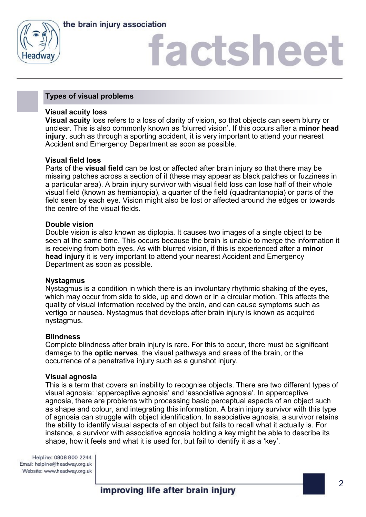

# **actshee**

#### **Types of visual problems**

#### **Visual acuity loss**

**Visual acuity** loss refers to a loss of clarity of vision, so that objects can seem blurry or unclear. This is also commonly known as 'blurred vision'. If this occurs after a **minor head injury**, such as through a sporting accident, it is very important to attend your nearest Accident and Emergency Department as soon as possible.

#### **Visual field loss**

Parts of the **visual field** can be lost or affected after brain injury so that there may be missing patches across a section of it (these may appear as black patches or fuzziness in a particular area). A brain injury survivor with visual field loss can lose half of their whole visual field (known as hemianopia), a quarter of the field (quadrantanopia) or parts of the field seen by each eye. Vision might also be lost or affected around the edges or towards the centre of the visual fields.

#### **Double vision**

Double vision is also known as diplopia. It causes two images of a single object to be seen at the same time. This occurs because the brain is unable to merge the information it is receiving from both eyes. As with blurred vision, if this is experienced after a **minor head injury** it is very important to attend your nearest Accident and Emergency Department as soon as possible.

#### **Nystagmus**

Nystagmus is a condition in which there is an involuntary rhythmic shaking of the eyes, which may occur from side to side, up and down or in a circular motion. This affects the quality of visual information received by the brain, and can cause symptoms such as vertigo or nausea. Nystagmus that develops after brain injury is known as acquired nystagmus.

#### **Blindness**

Complete blindness after brain injury is rare. For this to occur, there must be significant damage to the **optic nerves**, the visual pathways and areas of the brain, or the occurrence of a penetrative injury such as a gunshot injury.

#### **Visual agnosia**

This is a term that covers an inability to recognise objects. There are two different types of visual agnosia: 'apperceptive agnosia' and 'associative agnosia'. In apperceptive agnosia, there are problems with processing basic perceptual aspects of an object such as shape and colour, and integrating this information. A brain injury survivor with this type of agnosia can struggle with object identification. In associative agnosia, a survivor retains the ability to identify visual aspects of an object but fails to recall what it actually is. For instance, a survivor with associative agnosia holding a key might be able to describe its shape, how it feels and what it is used for, but fail to identify it as a 'key'.

Helpline: 0808 800 2244 Email: helpline@headway.org.uk Website: www.headway.org.uk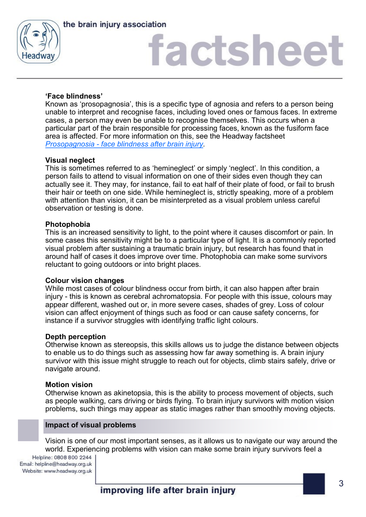



# factshee<sup>®</sup>

### **'Face blindness'**

Known as 'prosopagnosia', this is a specific type of agnosia and refers to a person being unable to interpret and recognise faces, including loved ones or famous faces. In extreme cases, a person may even be unable to recognise themselves. This occurs when a particular part of the brain responsible for processing faces, known as the fusiform face area is affected. For more information on this, see the Headway factsheet *Prosopagnosia - [face blindness after brain injury.](https://www.headway.org.uk/media/2816/prosopagnosia-face-blindness-after-brain-injury-factsheet.pdf)* 

#### **Visual neglect**

This is sometimes referred to as 'hemineglect' or simply 'neglect'. In this condition, a person fails to attend to visual information on one of their sides even though they can actually see it. They may, for instance, fail to eat half of their plate of food, or fail to brush their hair or teeth on one side. While hemineglect is, strictly speaking, more of a problem with attention than vision, it can be misinterpreted as a visual problem unless careful observation or testing is done.

#### **Photophobia**

This is an increased sensitivity to light, to the point where it causes discomfort or pain. In some cases this sensitivity might be to a particular type of light. It is a commonly reported visual problem after sustaining a traumatic brain injury, but research has found that in around half of cases it does improve over time. Photophobia can make some survivors reluctant to going outdoors or into bright places.

#### **Colour vision changes**

While most cases of colour blindness occur from birth, it can also happen after brain injury - this is known as cerebral achromatopsia. For people with this issue, colours may appear different, washed out or, in more severe cases, shades of grey. Loss of colour vision can affect enjoyment of things such as food or can cause safety concerns, for instance if a survivor struggles with identifying traffic light colours.

#### **Depth perception**

Otherwise known as stereopsis, this skills allows us to judge the distance between objects to enable us to do things such as assessing how far away something is. A brain injury survivor with this issue might struggle to reach out for objects, climb stairs safely, drive or navigate around.

#### **Motion vision**

Otherwise known as akinetopsia, this is the ability to process movement of objects, such as people walking, cars driving or birds flying. To brain injury survivors with motion vision problems, such things may appear as static images rather than smoothly moving objects.

#### **Impact of visual problems**

Vision is one of our most important senses, as it allows us to navigate our way around the world. Experiencing problems with vision can make some brain injury survivors feel a

Helpline: 0808 800 2244 Email: helpline@headway.org.uk Website: www.headway.org.uk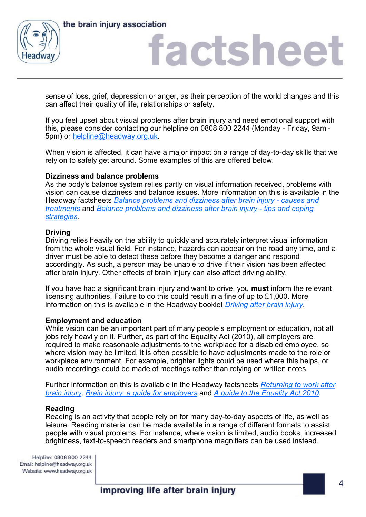



### factshee<sup>®</sup>

sense of loss, grief, depression or anger, as their perception of the world changes and this can affect their quality of life, relationships or safety.

If you feel upset about visual problems after brain injury and need emotional support with this, please consider contacting our helpline on 0808 800 2244 (Monday - Friday, 9am - 5pm) or [helpline@headway.org.uk.](mailto:helpline@headway.org.uk)

When vision is affected, it can have a major impact on a range of day-to-day skills that we rely on to safely get around. Some examples of this are offered below.

#### **Dizziness and balance problems**

As the body's balance system relies partly on visual information received, problems with vision can cause dizziness and balance issues. More information on this is available in the Headway factsheets *[Balance problems and dizziness after brain injury](https://www.headway.org.uk/media/2786/balance-problems-and-dizziness-after-brain-injury-causes-and-treatment-factsheet.pdf) - causes and [treatments](https://www.headway.org.uk/media/2786/balance-problems-and-dizziness-after-brain-injury-causes-and-treatment-factsheet.pdf)* and *[Balance problems and dizziness after brain injury](https://www.headway.org.uk/media/2787/balance-problems-and-dizziness-after-brain-injury-tips-and-coping-strategies-factsheet.pdf) - tips and coping [strategies.](https://www.headway.org.uk/media/2787/balance-problems-and-dizziness-after-brain-injury-tips-and-coping-strategies-factsheet.pdf)* 

#### **Driving**

Driving relies heavily on the ability to quickly and accurately interpret visual information from the whole visual field. For instance, hazards can appear on the road any time, and a driver must be able to detect these before they become a danger and respond accordingly. As such, a person may be unable to drive if their vision has been affected after brain injury. Other effects of brain injury can also affect driving ability.

If you have had a significant brain injury and want to drive, you **must** inform the relevant licensing authorities. Failure to do this could result in a fine of up to £1,000. More information on this is available in the Headway booklet *[Driving after brain injury.](https://www.headway.org.uk/media/3992/driving-after-brain-injury-e-booklet.pdf)* 

#### **Employment and education**

While vision can be an important part of many people's employment or education, not all jobs rely heavily on it. Further, as part of the Equality Act (2010), all employers are required to make reasonable adjustments to the workplace for a disabled employee, so where vision may be limited, it is often possible to have adjustments made to the role or workplace environment. For example, brighter lights could be used where this helps, or audio recordings could be made of meetings rather than relying on written notes.

Further information on this is available in the Headway factsheets *[Returning to work after](https://www.headway.org.uk/media/4130/returning-to-work-after-brain-injury-factsheet.pdf)  [brain injury,](https://www.headway.org.uk/media/4130/returning-to-work-after-brain-injury-factsheet.pdf) [Brain injury: a guide for employers](https://www.headway.org.uk/media/4123/brain-injury-a-guide-for-employers.pdf)* and *[A guide to the Equality Act 2010.](https://www.headway.org.uk/media/4122/a-guide-to-the-equality-act-2010-factsheet.pdf)* 

#### **Reading**

Reading is an activity that people rely on for many day-to-day aspects of life, as well as leisure. Reading material can be made available in a range of different formats to assist people with visual problems. For instance, where vision is limited, audio books, increased brightness, text-to-speech readers and smartphone magnifiers can be used instead.

Helpline: 0808 800 2244 Email: helpline@headway.org.uk Website: www.headway.org.uk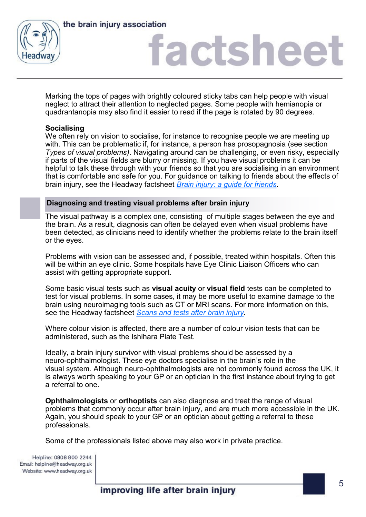



# factsheet

Marking the tops of pages with brightly coloured sticky tabs can help people with visual neglect to attract their attention to neglected pages. Some people with hemianopia or quadrantanopia may also find it easier to read if the page is rotated by 90 degrees.

#### **Socialising**

We often rely on vision to socialise, for instance to recognise people we are meeting up with. This can be problematic if, for instance, a person has prosopagnosia (see section *Types of visual problems)*. Navigating around can be challenging, or even risky, especially if parts of the visual fields are blurry or missing. If you have visual problems it can be helpful to talk these through with your friends so that you are socialising in an environment that is comfortable and safe for you. For guidance on talking to friends about the effects of brain injury, see the Headway factsheet *[Brain injury: a guide for friends.](https://www.headway.org.uk/media/4990/brain-injury-a-guide-for-friends-factsheet.pdf)* 

#### **Diagnosing and treating visual problems after brain injury**

The visual pathway is a complex one, consisting of multiple stages between the eye and the brain. As a result, diagnosis can often be delayed even when visual problems have been detected, as clinicians need to identify whether the problems relate to the brain itself or the eyes.

Problems with vision can be assessed and, if possible, treated within hospitals. Often this will be within an eye clinic. Some hospitals have Eye Clinic Liaison Officers who can assist with getting appropriate support.

Some basic visual tests such as **visual acuity** or **visual field** tests can be completed to test for visual problems. In some cases, it may be more useful to examine damage to the brain using neuroimaging tools such as CT or MRI scans. For more information on this, see the Headway factsheet *[Scans and tests after brain injury.](https://www.headway.org.uk/media/5375/scans-and-tests-after-brain-injury-factsheet.pdf)* 

Where colour vision is affected, there are a number of colour vision tests that can be administered, such as the Ishihara Plate Test.

Ideally, a brain injury survivor with visual problems should be assessed by a neuro-ophthalmologist. These eye doctors specialise in the brain's role in the visual system. Although neuro-ophthalmologists are not commonly found across the UK, it is always worth speaking to your GP or an optician in the first instance about trying to get a referral to one.

**Ophthalmologists** or **orthoptists** can also diagnose and treat the range of visual problems that commonly occur after brain injury, and are much more accessible in the UK. Again, you should speak to your GP or an optician about getting a referral to these professionals.

Some of the professionals listed above may also work in private practice.

Helpline: 0808 800 2244 Email: helpline@headway.org.uk Website: www.headway.org.uk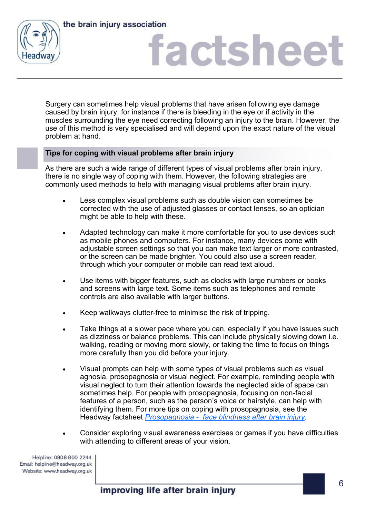

# factsheet

Surgery can sometimes help visual problems that have arisen following eye damage caused by brain injury, for instance if there is bleeding in the eye or if activity in the muscles surrounding the eye need correcting following an injury to the brain. However, the use of this method is very specialised and will depend upon the exact nature of the visual problem at hand.

### **Tips for coping with visual problems after brain injury**

As there are such a wide range of different types of visual problems after brain injury, there is no single way of coping with them. However, the following strategies are commonly used methods to help with managing visual problems after brain injury.

- Less complex visual problems such as double vision can sometimes be corrected with the use of adjusted glasses or contact lenses, so an optician might be able to help with these.
- Adapted technology can make it more comfortable for you to use devices such as mobile phones and computers. For instance, many devices come with adjustable screen settings so that you can make text larger or more contrasted, or the screen can be made brighter. You could also use a screen reader, through which your computer or mobile can read text aloud.
- Use items with bigger features, such as clocks with large numbers or books and screens with large text. Some items such as telephones and remote controls are also available with larger buttons.
- Keep walkways clutter-free to minimise the risk of tripping.
- Take things at a slower pace where you can, especially if you have issues such as dizziness or balance problems. This can include physically slowing down i.e. walking, reading or moving more slowly, or taking the time to focus on things more carefully than you did before your injury.
- Visual prompts can help with some types of visual problems such as visual agnosia, prosopagnosia or visual neglect. For example, reminding people with visual neglect to turn their attention towards the neglected side of space can sometimes help. For people with prosopagnosia, focusing on non-facial features of a person, such as the person's voice or hairstyle, can help with identifying them. For more tips on coping with prosopagnosia, see the Headway factsheet *Prosopagnosia - [face blindness after brain injury.](https://www.headway.org.uk/media/2816/prosopagnosia-face-blindness-after-brain-injury-factsheet.pdf)*
- Consider exploring visual awareness exercises or games if you have difficulties with attending to different areas of your vision.

Helpline: 0808 800 2244 Email: helpline@headway.org.uk Website: www.headway.org.uk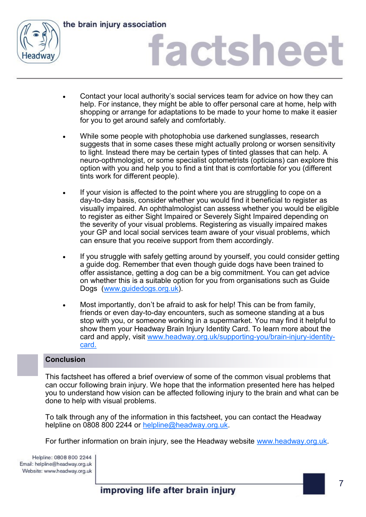

# factsheet

- Contact your local authority's social services team for advice on how they can help. For instance, they might be able to offer personal care at home, help with shopping or arrange for adaptations to be made to your home to make it easier for you to get around safely and comfortably.
- While some people with photophobia use darkened sunglasses, research suggests that in some cases these might actually prolong or worsen sensitivity to light. Instead there may be certain types of tinted glasses that can help. A neuro-opthmologist, or some specialist optometrists (opticians) can explore this option with you and help you to find a tint that is comfortable for you (different tints work for different people).
- If your vision is affected to the point where you are struggling to cope on a day-to-day basis, consider whether you would find it beneficial to register as visually impaired. An ophthalmologist can assess whether you would be eligible to register as either Sight Impaired or Severely Sight Impaired depending on the severity of your visual problems. Registering as visually impaired makes your GP and local social services team aware of your visual problems, which can ensure that you receive support from them accordingly.
- If you struggle with safely getting around by yourself, you could consider getting a guide dog. Remember that even though guide dogs have been trained to offer assistance, getting a dog can be a big commitment. You can get advice on whether this is a suitable option for you from organisations such as Guide Dogs [\(www.guidedogs.org.uk\)](https://www.guidedogs.org.uk/).
- Most importantly, don't be afraid to ask for help! This can be from family, friends or even day-to-day encounters, such as someone standing at a bus stop with you, or someone working in a supermarket. You may find it helpful to show them your Headway Brain Injury Identity Card. To learn more about the card and apply, visit [www.headway.org.uk/supporting](https://www.headway.org.uk/supporting-you/brain-injury-identity-card/)-you/brain-injury-identity[card.](https://www.headway.org.uk/supporting-you/brain-injury-identity-card/)

### **Conclusion**

This factsheet has offered a brief overview of some of the common visual problems that can occur following brain injury. We hope that the information presented here has helped you to understand how vision can be affected following injury to the brain and what can be done to help with visual problems.

To talk through any of the information in this factsheet, you can contact the Headway helpline on 0808 800 2244 or [helpline@headway.org.uk.](mailto:helpline@headway.org.uk)

For further information on brain injury, see the Headway website [www.headway.org.uk.](http://www.headway.org.uk)

Helpline: 0808 800 2244 Email: helpline@headway.org.uk Website: www.headway.org.uk